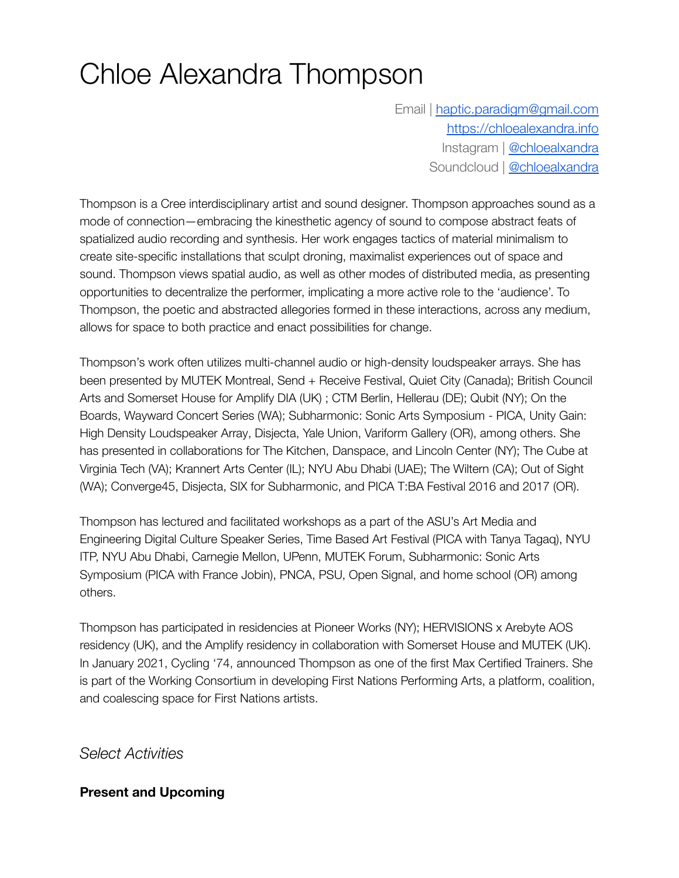# Chloe Alexandra Thompson

Email | [haptic.paradigm@gmail.com](mailto:haptic.paradigm@gmail.com) <https://chloealexandra.info> Instagram | [@chloealxandra](https://www.instagram.com/chloealxandra) Soundcloud | [@chloealxandra](https://soundcloud.com/chloealxandra)

Thompson is a Cree interdisciplinary artist and sound designer. Thompson approaches sound as a mode of connection—embracing the kinesthetic agency of sound to compose abstract feats of spatialized audio recording and synthesis. Her work engages tactics of material minimalism to create site-specific installations that sculpt droning, maximalist experiences out of space and sound. Thompson views spatial audio, as well as other modes of distributed media, as presenting opportunities to decentralize the performer, implicating a more active role to the 'audience'. To Thompson, the poetic and abstracted allegories formed in these interactions, across any medium, allows for space to both practice and enact possibilities for change.

Thompson's work often utilizes multi-channel audio or high-density loudspeaker arrays. She has been presented by MUTEK Montreal, Send + Receive Festival, Quiet City (Canada); British Council Arts and Somerset House for Amplify DIA (UK) ; CTM Berlin, Hellerau (DE); Qubit (NY); On the Boards, Wayward Concert Series (WA); Subharmonic: Sonic Arts Symposium - PICA, Unity Gain: High Density Loudspeaker Array, Disjecta, Yale Union, Variform Gallery (OR), among others. She has presented in collaborations for The Kitchen, Danspace, and Lincoln Center (NY); The Cube at Virginia Tech (VA); Krannert Arts Center (IL); NYU Abu Dhabi (UAE); The Wiltern (CA); Out of Sight (WA); Converge45, Disjecta, SIX for Subharmonic, and PICA T:BA Festival 2016 and 2017 (OR).

Thompson has lectured and facilitated workshops as a part of the ASU's Art Media and Engineering Digital Culture Speaker Series, Time Based Art Festival (PICA with Tanya Tagaq), NYU ITP, NYU Abu Dhabi, Carnegie Mellon, UPenn, MUTEK Forum, Subharmonic: Sonic Arts Symposium (PICA with France Jobin), PNCA, PSU, Open Signal, and home school (OR) among others.

Thompson has participated in residencies at Pioneer Works (NY); HERVISIONS x Arebyte AOS residency (UK), and the Amplify residency in collaboration with Somerset House and MUTEK (UK). In January 2021, Cycling '74, announced Thompson as one of the first Max Certified Trainers. She is part of the Working Consortium in developing First Nations Performing Arts, a platform, coalition, and coalescing space for First Nations artists.

*Select Activities*

# **Present and Upcoming**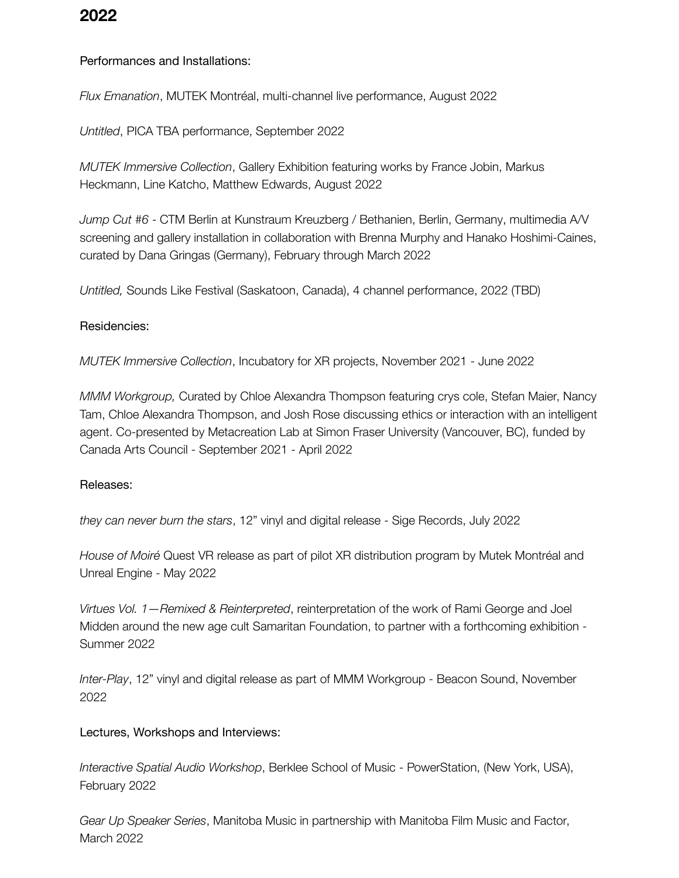# **2022**

## Performances and Installations:

*Flux Emanation*, MUTEK Montréal, multi-channel live performance, August 2022

*Untitled*, PICA TBA performance, September 2022

*MUTEK Immersive Collection*, Gallery Exhibition featuring works by France Jobin, Markus Heckmann, Line Katcho, Matthew Edwards, August 2022

*Jump Cut #6* - CTM Berlin at Kunstraum Kreuzberg / Bethanien, Berlin, Germany, multimedia A/V screening and gallery installation in collaboration with Brenna Murphy and Hanako Hoshimi-Caines, curated by Dana Gringas (Germany), February through March 2022

*Untitled,* Sounds Like Festival (Saskatoon, Canada), 4 channel performance, 2022 (TBD)

#### Residencies:

*MUTEK Immersive Collection*, Incubatory for XR projects, November 2021 - June 2022

*MMM Workgroup,* Curated by Chloe Alexandra Thompson featuring crys cole, Stefan Maier, Nancy Tam, Chloe Alexandra Thompson, and Josh Rose discussing ethics or interaction with an intelligent agent. Co-presented by Metacreation Lab at Simon Fraser University (Vancouver, BC), funded by Canada Arts Council - September 2021 - April 2022

#### Releases:

*they can never burn the stars*, 12" vinyl and digital release - Sige Records, July 2022

*House of Moiré* Quest VR release as part of pilot XR distribution program by Mutek Montréal and Unreal Engine - May 2022

*Virtues Vol. 1—Remixed & Reinterpreted*, reinterpretation of the work of Rami George and Joel Midden around the new age cult Samaritan Foundation, to partner with a forthcoming exhibition - Summer 2022

*Inter-Play*, 12" vinyl and digital release as part of MMM Workgroup - Beacon Sound, November 2022

#### Lectures, Workshops and Interviews:

*Interactive Spatial Audio Workshop*, Berklee School of Music - PowerStation, (New York, USA), February 2022

*Gear Up Speaker Series*, Manitoba Music in partnership with Manitoba Film Music and Factor, March 2022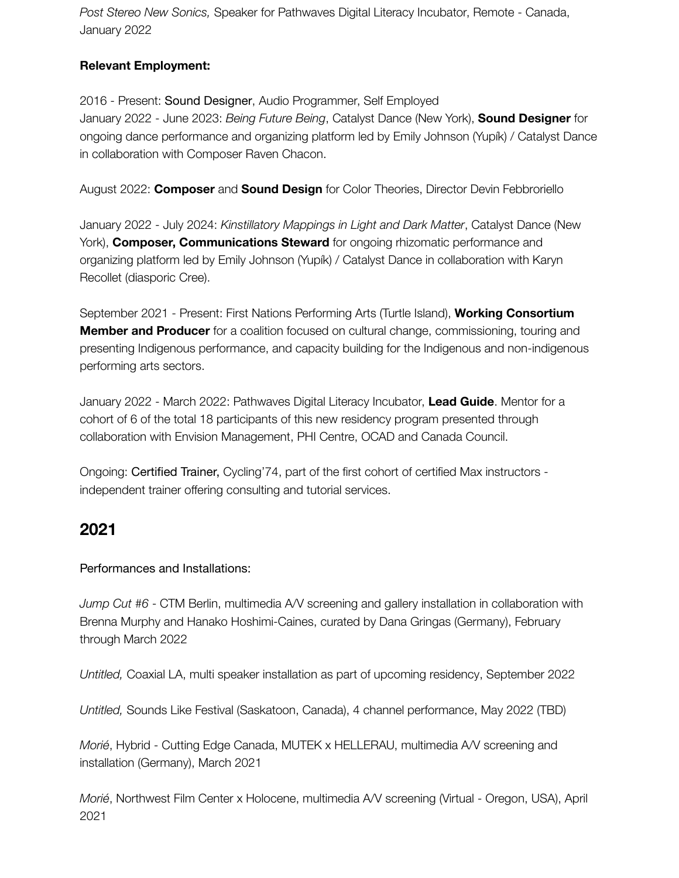*Post Stereo New Sonics,* Speaker for Pathwaves Digital Literacy Incubator, Remote - Canada, January 2022

# **Relevant Employment:**

2016 - Present: Sound Designer, Audio Programmer, Self Employed January 2022 - June 2023: *Being Future Being*, Catalyst Dance (New York), **Sound Designer** for ongoing dance performance and organizing platform led by Emily Johnson (Yupík) / Catalyst Dance in collaboration with Composer Raven Chacon.

August 2022: **Composer** and **Sound Design** for Color Theories, Director Devin Febbroriello

January 2022 - July 2024: *Kinstillatory Mappings in Light and Dark Matter*, Catalyst Dance (New York), **Composer, Communications Steward** for ongoing rhizomatic performance and organizing platform led by Emily Johnson (Yupík) / Catalyst Dance in collaboration with Karyn Recollet (diasporic Cree).

September 2021 - Present: First Nations Performing Arts (Turtle Island), **Working Consortium Member and Producer** for a coalition focused on cultural change, commissioning, touring and presenting Indigenous performance, and capacity building for the Indigenous and non-indigenous performing arts sectors.

January 2022 - March 2022: Pathwaves Digital Literacy Incubator, **Lead Guide**. Mentor for a cohort of 6 of the total 18 participants of this new residency program presented through collaboration with Envision Management, PHI Centre, OCAD and Canada Council.

Ongoing: Certified Trainer, Cycling'74, part of the first cohort of certified Max instructors independent trainer offering consulting and tutorial services.

# **2021**

Performances and Installations:

*Jump Cut #6* - CTM Berlin, multimedia A/V screening and gallery installation in collaboration with Brenna Murphy and Hanako Hoshimi-Caines, curated by Dana Gringas (Germany), February through March 2022

*Untitled,* Coaxial LA, multi speaker installation as part of upcoming residency, September 2022

*Untitled,* Sounds Like Festival (Saskatoon, Canada), 4 channel performance, May 2022 (TBD)

*Morié*, Hybrid - Cutting Edge Canada, MUTEK x HELLERAU, multimedia A/V screening and installation (Germany), March 2021

*Morié*, Northwest Film Center x Holocene, multimedia A/V screening (Virtual - Oregon, USA), April 2021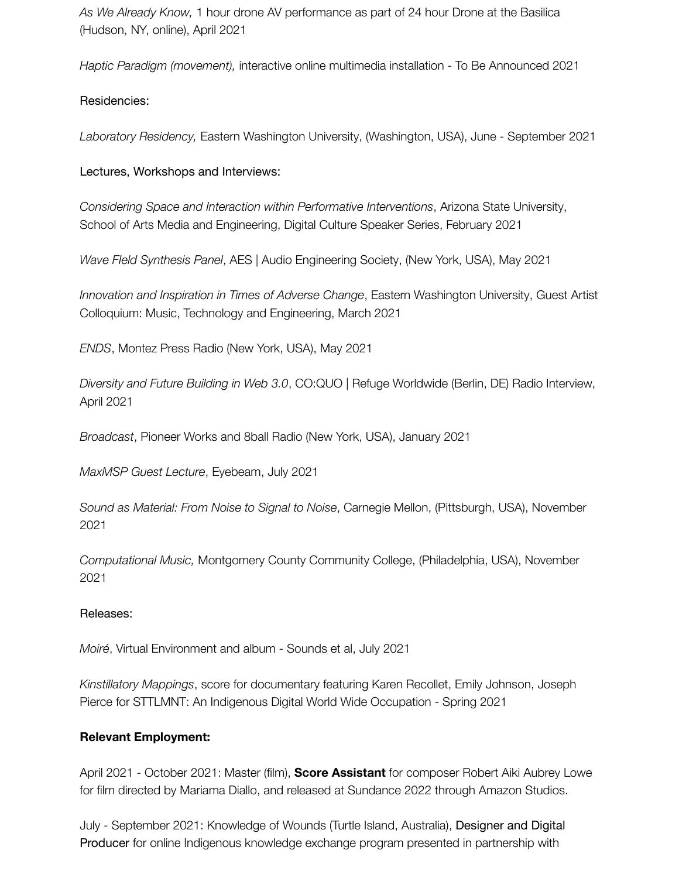*As We Already Know,* 1 hour drone AV performance as part of 24 hour Drone at the Basilica (Hudson, NY, online), April 2021

*Haptic Paradigm (movement),* interactive online multimedia installation - To Be Announced 2021

## Residencies:

*Laboratory Residency,* Eastern Washington University, (Washington, USA), June - September 2021

#### Lectures, Workshops and Interviews:

*Considering Space and Interaction within Performative Interventions*, Arizona State University, School of Arts Media and Engineering, Digital Culture Speaker Series, February 2021

*Wave FIeld Synthesis Panel*, AES | Audio Engineering Society, (New York, USA), May 2021

*Innovation and Inspiration in Times of Adverse Change*, Eastern Washington University, Guest Artist Colloquium: Music, Technology and Engineering, March 2021

*ENDS*, Montez Press Radio (New York, USA), May 2021

*Diversity and Future Building in Web 3.0*, CO:QUO | Refuge Worldwide (Berlin, DE) Radio Interview, April 2021

*Broadcast*, Pioneer Works and 8ball Radio (New York, USA), January 2021

*MaxMSP Guest Lecture*, Eyebeam, July 2021

*Sound as Material: From Noise to Signal to Noise*, Carnegie Mellon, (Pittsburgh, USA), November 2021

*Computational Music,* Montgomery County Community College, (Philadelphia, USA), November 2021

## Releases:

*Moiré*, Virtual Environment and album - Sounds et al, July 2021

*Kinstillatory Mappings*, score for documentary featuring Karen Recollet, Emily Johnson, Joseph Pierce for STTLMNT: An Indigenous Digital World Wide Occupation - Spring 2021

## **Relevant Employment:**

April 2021 - October 2021: Master (film), **Score Assistant** for composer Robert Aiki Aubrey Lowe for film directed by Mariama Diallo, and released at Sundance 2022 through Amazon Studios.

July - September 2021: Knowledge of Wounds (Turtle Island, Australia), Designer and Digital Producer for online Indigenous knowledge exchange program presented in partnership with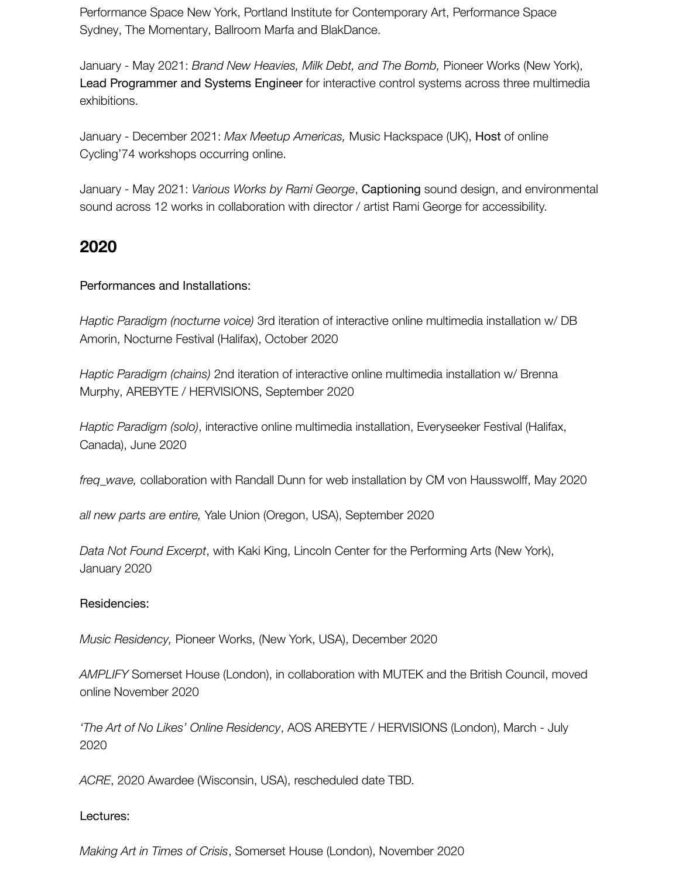Performance Space New York, Portland Institute for Contemporary Art, Performance Space Sydney, The Momentary, Ballroom Marfa and BlakDance.

January - May 2021: *Brand New Heavies, Milk Debt, and The Bomb,* Pioneer Works (New York), Lead Programmer and Systems Engineer for interactive control systems across three multimedia exhibitions.

January - December 2021: *Max Meetup Americas,* Music Hackspace (UK), Host of online Cycling'74 workshops occurring online.

January - May 2021: *Various Works by Rami George*, Captioning sound design, and environmental sound across 12 works in collaboration with director / artist Rami George for accessibility.

# **2020**

## Performances and Installations:

*Haptic Paradigm (nocturne voice)* 3rd iteration of interactive online multimedia installation w/ DB Amorin, Nocturne Festival (Halifax), October 2020

*Haptic Paradigm (chains)* 2nd iteration of interactive online multimedia installation w/ Brenna Murphy, AREBYTE / HERVISIONS, September 2020

*Haptic Paradigm (solo)*, interactive online multimedia installation, Everyseeker Festival (Halifax, Canada), June 2020

*freq\_wave,* collaboration with Randall Dunn for web installation by CM von Hausswolff, May 2020

*all new parts are entire,* Yale Union (Oregon, USA), September 2020

*Data Not Found Excerpt*, with Kaki King, Lincoln Center for the Performing Arts (New York), January 2020

## Residencies:

*Music Residency,* Pioneer Works, (New York, USA), December 2020

*AMPLIFY* Somerset House (London), in collaboration with MUTEK and the British Council, moved online November 2020

*'The Art of No Likes' Online Residency*, AOS AREBYTE / HERVISIONS (London), March - July 2020

*ACRE*, 2020 Awardee (Wisconsin, USA), rescheduled date TBD.

## Lectures:

*Making Art in Times of Crisis*, Somerset House (London), November 2020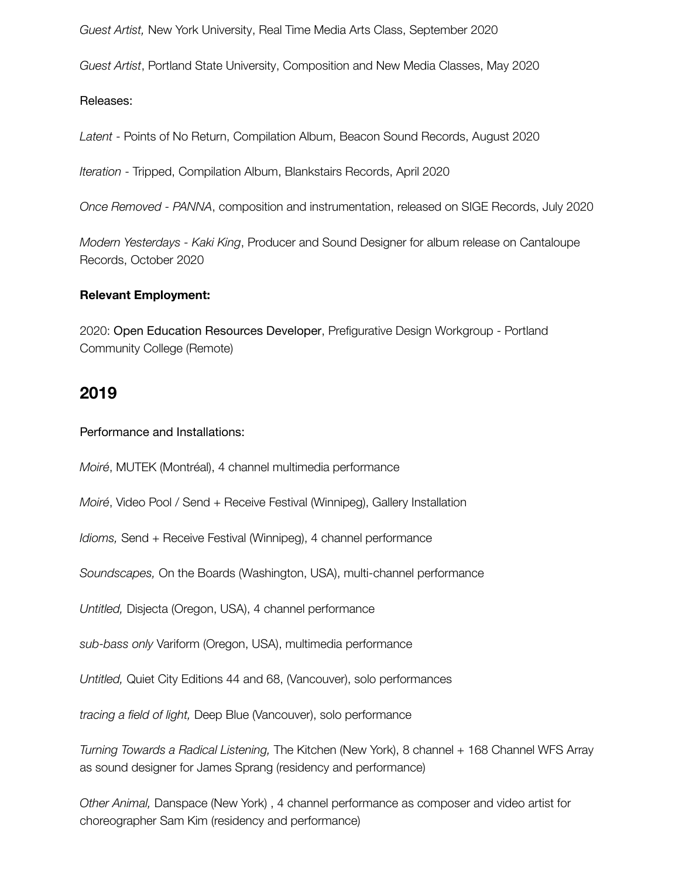*Guest Artist,* New York University, Real Time Media Arts Class, September 2020

*Guest Artist*, Portland State University, Composition and New Media Classes, May 2020

Releases:

*Latent* - Points of No Return, Compilation Album, Beacon Sound Records, August 2020

*Iteration* - Tripped, Compilation Album, Blankstairs Records, April 2020

*Once Removed - PANNA*, composition and instrumentation, released on SIGE Records, July 2020

*Modern Yesterdays - Kaki King*, Producer and Sound Designer for album release on Cantaloupe Records, October 2020

#### **Relevant Employment:**

2020: Open Education Resources Developer, Prefigurative Design Workgroup - Portland Community College (Remote)

# **2019**

Performance and Installations:

*Moiré*, MUTEK (Montréal), 4 channel multimedia performance

*Moiré*, Video Pool / Send + Receive Festival (Winnipeg), Gallery Installation

*Idioms,* Send + Receive Festival (Winnipeg), 4 channel performance

*Soundscapes,* On the Boards (Washington, USA), multi-channel performance

*Untitled,* Disjecta (Oregon, USA), 4 channel performance

*sub-bass only* Variform (Oregon, USA), multimedia performance

*Untitled,* Quiet City Editions 44 and 68, (Vancouver), solo performances

*tracing a field of light,* Deep Blue (Vancouver), solo performance

*Turning Towards a Radical Listening,* The Kitchen (New York), 8 channel + 168 Channel WFS Array as sound designer for James Sprang (residency and performance)

*Other Animal,* Danspace (New York) , 4 channel performance as composer and video artist for choreographer Sam Kim (residency and performance)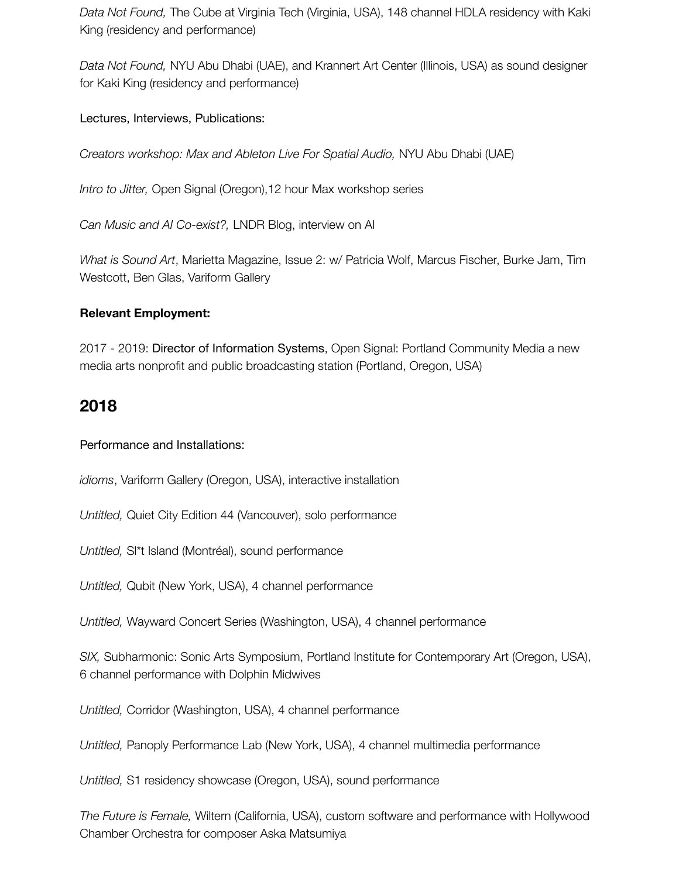*Data Not Found,* The Cube at Virginia Tech (Virginia, USA), 148 channel HDLA residency with Kaki King (residency and performance)

*Data Not Found,* NYU Abu Dhabi (UAE), and Krannert Art Center (Illinois, USA) as sound designer for Kaki King (residency and performance)

Lectures, Interviews, Publications:

*Creators workshop: Max and Ableton Live For Spatial Audio,* NYU Abu Dhabi (UAE)

*Intro to Jitter,* Open Signal (Oregon),12 hour Max workshop series

*Can Music and AI Co-exist?,* LNDR Blog, interview on AI

*What is Sound Art*, Marietta Magazine, Issue 2: w/ Patricia Wolf, Marcus Fischer, Burke Jam, Tim Westcott, Ben Glas, Variform Gallery

## **Relevant Employment:**

2017 - 2019: Director of Information Systems, Open Signal: Portland Community Media a new media arts nonprofit and public broadcasting station (Portland, Oregon, USA)

# **2018**

## Performance and Installations:

*idioms*, Variform Gallery (Oregon, USA), interactive installation

*Untitled,* Quiet City Edition 44 (Vancouver), solo performance

*Untitled,* Sl\*t Island (Montréal), sound performance

*Untitled,* Qubit (New York, USA), 4 channel performance

*Untitled,* Wayward Concert Series (Washington, USA), 4 channel performance

*SIX,* Subharmonic: Sonic Arts Symposium, Portland Institute for Contemporary Art (Oregon, USA), 6 channel performance with Dolphin Midwives

*Untitled,* Corridor (Washington, USA), 4 channel performance

*Untitled,* Panoply Performance Lab (New York, USA), 4 channel multimedia performance

*Untitled,* S1 residency showcase (Oregon, USA), sound performance

*The Future is Female,* Wiltern (California, USA), custom software and performance with Hollywood Chamber Orchestra for composer Aska Matsumiya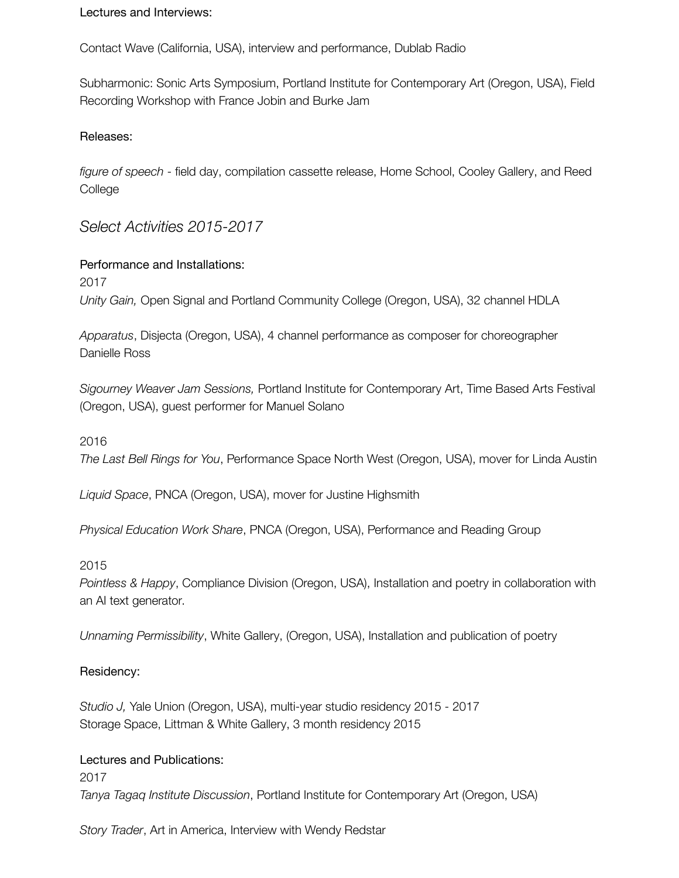Lectures and Interviews:

Contact Wave (California, USA), interview and performance, Dublab Radio

Subharmonic: Sonic Arts Symposium, Portland Institute for Contemporary Art (Oregon, USA), Field Recording Workshop with France Jobin and Burke Jam

#### Releases:

*figure of speech* - field day, compilation cassette release, Home School, Cooley Gallery, and Reed **College** 

# *Select Activities 2015-2017*

Performance and Installations: 2017 *Unity Gain,* Open Signal and Portland Community College (Oregon, USA), 32 channel HDLA

*Apparatus*, Disjecta (Oregon, USA), 4 channel performance as composer for choreographer Danielle Ross

*Sigourney Weaver Jam Sessions,* Portland Institute for Contemporary Art, Time Based Arts Festival (Oregon, USA), guest performer for Manuel Solano

#### 2016

*The Last Bell Rings for You*, Performance Space North West (Oregon, USA), mover for Linda Austin

*Liquid Space*, PNCA (Oregon, USA), mover for Justine Highsmith

*Physical Education Work Share*, PNCA (Oregon, USA), Performance and Reading Group

#### 2015

*Pointless & Happy*, Compliance Division (Oregon, USA), Installation and poetry in collaboration with an AI text generator.

*Unnaming Permissibility*, White Gallery, (Oregon, USA), Installation and publication of poetry

#### Residency:

*Studio J,* Yale Union (Oregon, USA), multi-year studio residency 2015 - 2017 Storage Space, Littman & White Gallery, 3 month residency 2015

#### Lectures and Publications:

2017 *Tanya Tagaq Institute Discussion*, Portland Institute for Contemporary Art (Oregon, USA)

*Story Trader*, Art in America, Interview with Wendy Redstar